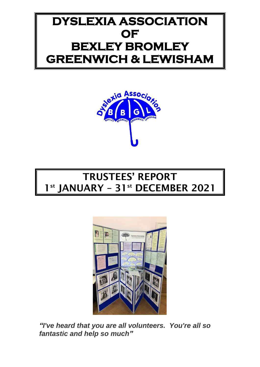# **DYSLEXIA ASSOCIATION OF BEXLEY BROMLEY GREENWICH & LEWISHAM**



# TRUSTEES' REPORT 1<sup>st</sup> JANUARY - 31<sup>st</sup> DECEMBER 2021



*"I've heard that you are all volunteers. You're all so fantastic and help so much"*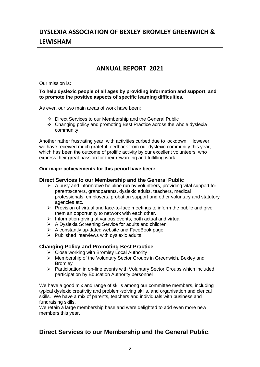# **DYSLEXIA ASSOCIATION OF BEXLEY BROMLEY GREENWICH & LEWISHAM**

# **ANNUAL REPORT 2021**

Our mission is**:**

#### **To help dyslexic people of all ages by providing information and support, and to promote the positive aspects of specific learning difficulties.**

As ever, our two main areas of work have been:

- ❖ Direct Services to our Membership and the General Public
- ❖ Changing policy and promoting Best Practice across the whole dyslexia community

Another rather frustrating year, with activities curbed due to lockdown. However, we have received much grateful feedback from our dyslexic community this year, which has been the outcome of prolific activity by our excellent volunteers, who express their great passion for their rewarding and fulfilling work.

#### **Our major achievements for this period have been:**

#### **Direct Services to our Membership and the General Public**

- $\triangleright$  A busy and informative helpline run by volunteers, providing vital support for parents/carers, grandparents, dyslexic adults, teachers, medical professionals, employers, probation support and other voluntary and statutory agencies etc.
- $\triangleright$  Provision of virtual and face-to-face meetings to inform the public and give them an opportunity to network with each other.
- ➢ Information-giving at various events, both actual and virtual.
- ➢ A Dyslexia Screening Service for adults and children
- $\triangleright$  A constantly up-dated website and FaceBook page
- $\triangleright$  Published interviews with dyslexic adults

## **Changing Policy and Promoting Best Practice**

- ➢ Close working with Bromley Local Authority
- ➢ Membership of the Voluntary Sector Groups in Greenwich, Bexley and **Bromley**
- ➢ Participation in on-line events with Voluntary Sector Groups which included participation by Education Authority personnel

We have a good mix and range of skills among our committee members, including typical dyslexic creativity and problem-solving skills, and organisation and clerical skills. We have a mix of parents, teachers and individuals with business and fundraising skills.

We retain a large membership base and were delighted to add even more new members this year.

## **Direct Services to our Membership and the General Public**.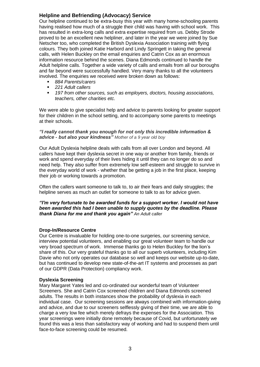## **Helpline and Befriending (Advocacy) Service**

Our helpline continued to be extra-busy this year with many home-schooling parents having realised how much of a struggle their child was having with school work. This has resulted in extra-long calls and extra expertise required from us. Debby Strode proved to be an excellent new helpliner, and later in the year we were joined by Sue Netscher too, who completed the British Dyslexia Association training with flying colours. They both joined Katie Harbord and Lindy Springett in taking the general calls, with Helen Buckley on the email enquiries and Catrin Cox as an enormous information resource behind the scenes. Diana Edmonds continued to handle the Adult helpline calls. Together a wide variety of calls and emails from all our boroughs and far beyond were successfully handled. Very many thanks to all the volunteers involved. The enquiries we received were broken down as follows:

- *884 Parents/carers*
- *221 Adult callers*
- 197 from other sources, such as employers, doctors, housing associations, *teachers, other charities etc.*

We were able to give specialist help and advice to parents looking for greater support for their children in the school setting, and to accompany some parents to meetings at their schools.

#### *"I really cannot thank you enough for not only this incredible information & advice - but also your kindness" Mother of a 9 year old boy*

Our Adult Dyslexia helpline deals with calls from all over London and beyond. All callers have kept their dyslexia secret in one way or another from family, friends or work and spend everyday of their lives hiding it until they can no longer do so and need help. They also suffer from extremely low self-esteem and struggle to survive in the everyday world of work - whether that be getting a job in the first place, keeping their job or working towards a promotion.

Often the callers want someone to talk to, to air their fears and daily struggles; the helpline serves as much an outlet for someone to talk to as for advice given.

#### *"I'm very fortunate to be awarded funds for a support worker. I would not have been awarded this had I been unable to supply quotes by the deadline. Please thank Diana for me and thank you again" An Adult caller*

#### **Drop-In/Resource Centre**

Our Centre is invaluable for holding one-to-one surgeries, our screening service, interview potential volunteers, and enabling our great volunteer team to handle our very broad spectrum of work. Immense thanks go to Helen Buckley for the lion's share of this. Our very grateful thanks go to all our superb volunteers, including Kim Davie who not only operates our database so well and keeps our website up-to-date, but has continued to develop new state-of-the-art IT systems and processes as part of our GDPR (Data Protection) compliancy work.

#### **Dyslexia Screening**

Mary Margaret Yates led and co-ordinated our wonderful team of Volunteer Screeners. She and Catrin Cox screened children and Diana Edmonds screened adults. The results in both instances show the probability of dyslexia in each individual case. Our screening sessions are always combined with information-giving and advice, and due to our screeners selflessly giving of their time, we are able to charge a very low fee which merely defrays the expenses for the Association. This year screenings were initially done remotely because of Covid, but unfortunately we found this was a less than satisfactory way of working and had to suspend them until face-to-face screening could be resumed.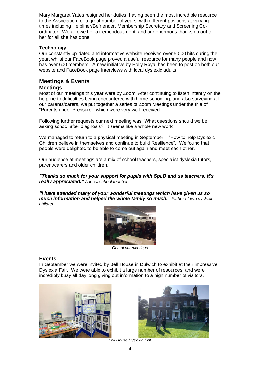Mary Margaret Yates resigned her duties, having been the most incredible resource to the Association for a great number of years, with different positions at varying times including Helpliner/Befriender, Membership Secretary and Screening Coordinator. We all owe her a tremendous debt, and our enormous thanks go out to her for all she has done.

#### **Technology**

Our constantly up-dated and informative website received over 5,000 hits during the year, whilst our FaceBook page proved a useful resource for many people and now has over 600 members. A new initiative by Holly Royal has been to post on both our website and FaceBook page interviews with local dyslexic adults.

# **Meetings & Events**

### **Meetings**

Most of our meetings this year were by Zoom. After continuing to listen intently on the helpline to difficulties being encountered with home-schooling, and also surveying all our parents/carers, we put together a series of Zoom Meetings under the title of "Parents under Pressure", which were very well-received.

Following further requests our next meeting was "What questions should we be asking school after diagnosis? It seems like a whole new world".

We managed to return to a physical meeting in September – "How to help Dyslexic Children believe in themselves and continue to build Resilience". We found that people were delighted to be able to come out again and meet each other.

Our audience at meetings are a mix of school teachers, specialist dyslexia tutors, parent/carers and older children.

*"Thanks so much for your support for pupils with SpLD and us teachers, it's really appreciated." A local school teacher*

*"I have attended many of your wonderful meetings which have given us so much information and helped the whole family so much." Father of two dyslexic children*



*One of our meetings*

#### **Events**

In September we were invited by Bell House in Dulwich to exhibit at their impressive Dyslexia Fair. We were able to exhibit a large number of resources, and were incredibly busy all day long giving out information to a high number of visitors.





*Bell House Dyslexia Fair*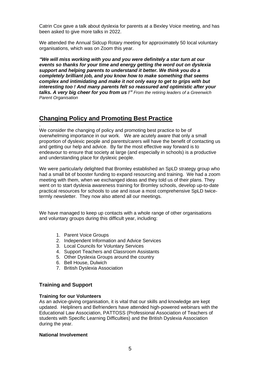Catrin Cox gave a talk about dyslexia for parents at a Bexley Voice meeting, and has been asked to give more talks in 2022.

We attended the Annual Sidcup Rotary meeting for approximately 50 local voluntary organisations, which was on Zoom this year.

*"We will miss working with you and you were definitely a star turn at our events so thanks for your time and energy getting the word out on dyslexia support and helping parents to understand it better. We think you do a completely brilliant job, and you know how to make something that seems complex and intimidating and make it not only easy to get to grips with but interesting too ! And many parents felt so reassured and optimistic after your talks. A very big cheer for you from us !" From the retiring leaders of a Greenwich Parent Organisation* 

## **Changing Policy and Promoting Best Practice**

We consider the changing of policy and promoting best practice to be of overwhelming importance in our work. We are acutely aware that only a small proportion of dyslexic people and parents/carers will have the benefit of contacting us and getting our help and advice. By far the most effective way forward is to endeavour to ensure that society at large (and especially in schools) is a productive and understanding place for dyslexic people.

We were particularly delighted that Bromley established an SpLD strategy group who had a small bit of booster funding to expand resourcing and training. We had a zoom meeting with them, when we exchanged ideas and they told us of their plans. They went on to start dyslexia awareness training for Bromley schools, develop up-to-date practical resources for schools to use and issue a most comprehensive SpLD twicetermly newsletter. They now also attend all our meetings.

We have managed to keep up contacts with a whole range of other organisations and voluntary groups during this difficult year, including:

- 1. Parent Voice Groups
- 2. Independent Information and Advice Services
- 3. Local Councils for Voluntary Services
- 4. Support Teachers and Classroom Assistants
- 5. Other Dyslexia Groups around the country
- 6. Bell House, Dulwich
- 7. British Dyslexia Association

#### **Training and Support**

.

#### **Training for our Volunteers**

As an advice-giving organisation, it is vital that our skills and knowledge are kept updated. Helpliners and Befrienders have attended high-powered webinars with the Educational Law Association, PATTOSS (Professional Association of Teachers of students with Specific Learning Difficulties) and the British Dyslexia Association during the year.

#### **National Involvement**